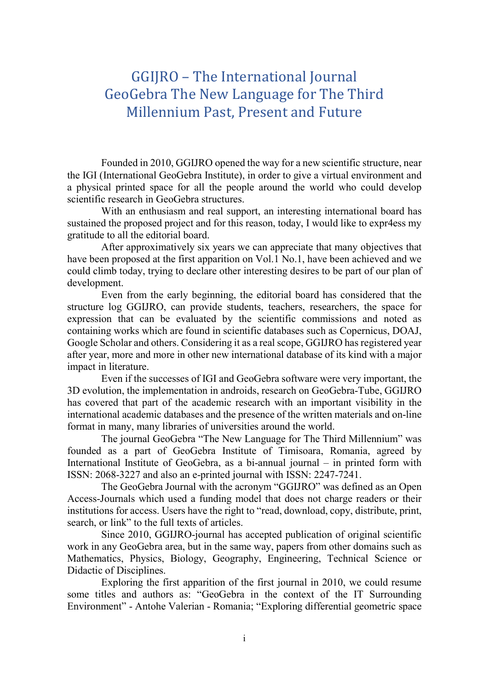## GGIJRO – The International Journal GeoGebra The New Language for The Third Millennium Past, Present and Future

Founded in 2010, GGIJRO opened the way for a new scientific structure, near the IGI (International GeoGebra Institute), in order to give a virtual environment and a physical printed space for all the people around the world who could develop scientific research in GeoGebra structures.

With an enthusiasm and real support, an interesting international board has sustained the proposed project and for this reason, today, I would like to expr4ess my gratitude to all the editorial board.

After approximatively six years we can appreciate that many objectives that have been proposed at the first apparition on Vol.1 No.1, have been achieved and we could climb today, trying to declare other interesting desires to be part of our plan of development.

Even from the early beginning, the editorial board has considered that the structure log GGIJRO, can provide students, teachers, researchers, the space for expression that can be evaluated by the scientific commissions and noted as containing works which are found in scientific databases such as Copernicus, DOAJ, Google Scholar and others. Considering it as a real scope, GGIJRO has registered year after year, more and more in other new international database of its kind with a major impact in literature.

Even if the successes of IGI and GeoGebra software were very important, the 3D evolution, the implementation in androids, research on GeoGebra-Tube, GGIJRO has covered that part of the academic research with an important visibility in the international academic databases and the presence of the written materials and on-line format in many, many libraries of universities around the world.

The journal GeoGebra "The New Language for The Third Millennium" was founded as a part of GeoGebra Institute of Timisoara, Romania, agreed by International Institute of GeoGebra, as a bi-annual journal – in printed form with ISSN: 2068-3227 and also an e-printed journal with ISSN: 2247-7241.

The GeoGebra Journal with the acronym "GGIJRO" was defined as an Open Access-Journals which used a funding model that does not charge readers or their institutions for access. Users have the right to "read, download, copy, distribute, print, search, or link" to the full texts of articles.

Since 2010, GGIJRO-journal has accepted publication of original scientific work in any GeoGebra area, but in the same way, papers from other domains such as Mathematics, Physics, Biology, Geography, Engineering, Technical Science or Didactic of Disciplines.

Exploring the first apparition of the first journal in 2010, we could resume some titles and authors as: "GeoGebra in the context of the IT Surrounding Environment" - Antohe Valerian - Romania; "Exploring differential geometric space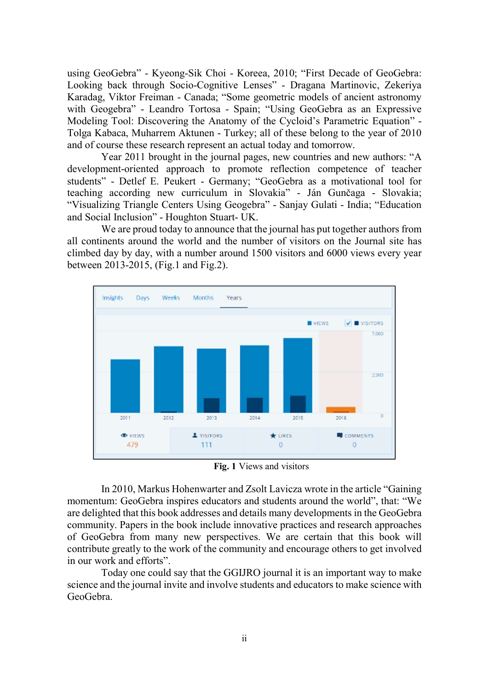using GeoGebra" - Kyeong-Sik Choi - Koreea, 2010; "First Decade of GeoGebra: Looking back through Socio-Cognitive Lenses" - Dragana Martinovic, Zekeriya Karadag, Viktor Freiman - Canada; "Some geometric models of ancient astronomy with Geogebra" - Leandro Tortosa - Spain; "Using GeoGebra as an Expressive Modeling Tool: Discovering the Anatomy of the Cycloid's Parametric Equation" - Tolga Kabaca, Muharrem Aktunen - Turkey; all of these belong to the year of 2010 and of course these research represent an actual today and tomorrow.

Year 2011 brought in the journal pages, new countries and new authors: "A development-oriented approach to promote reflection competence of teacher students" - Detlef E. Peukert - Germany; "GeoGebra as a motivational tool for teaching according new curriculum in Slovakia" - Ján Gunčaga - Slovakia; "Visualizing Triangle Centers Using Geogebra" - Sanjay Gulati - India; "Education and Social Inclusion" - Houghton Stuart- UK.

We are proud today to announce that the journal has put together authors from all continents around the world and the number of visitors on the Journal site has climbed day by day, with a number around 1500 visitors and 6000 views every year between 2013-2015, (Fig.1 and Fig.2).



Fig. 1 Views and visitors

In 2010, Markus Hohenwarter and Zsolt Lavicza wrote in the article "Gaining momentum: GeoGebra inspires educators and students around the world", that: "We are delighted that this book addresses and details many developments in the GeoGebra community. Papers in the book include innovative practices and research approaches of GeoGebra from many new perspectives. We are certain that this book will contribute greatly to the work of the community and encourage others to get involved in our work and efforts".

Today one could say that the GGIJRO journal it is an important way to make science and the journal invite and involve students and educators to make science with GeoGebra.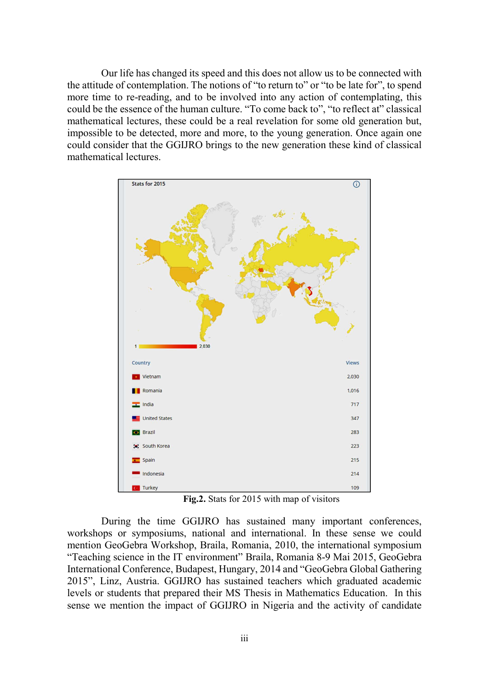Our life has changed its speed and this does not allow us to be connected with the attitude of contemplation. The notions of "to return to" or "to be late for", to spend more time to re-reading, and to be involved into any action of contemplating, this could be the essence of the human culture. "To come back to", "to reflect at" classical mathematical lectures, these could be a real revelation for some old generation but, impossible to be detected, more and more, to the young generation. Once again one could consider that the GGIJRO brings to the new generation these kind of classical mathematical lectures.



Fig.2. Stats for 2015 with map of visitors

During the time GGIJRO has sustained many important conferences, workshops or symposiums, national and international. In these sense we could mention GeoGebra Workshop, Braila, Romania, 2010, the international symposium "Teaching science in the IT environment" Braila, Romania 8-9 Mai 2015, GeoGebra International Conference, Budapest, Hungary, 2014 and "GeoGebra Global Gathering 2015", Linz, Austria. GGIJRO has sustained teachers which graduated academic levels or students that prepared their MS Thesis in Mathematics Education. In this sense we mention the impact of GGIJRO in Nigeria and the activity of candidate